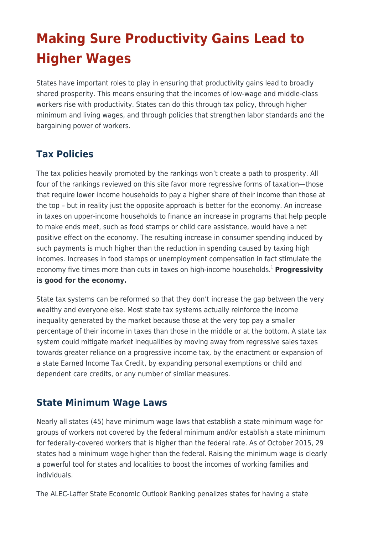# **Making Sure Productivity Gains Lead to Higher Wages**

States have important roles to play in ensuring that productivity gains lead to broadly shared prosperity. This means ensuring that the incomes of low-wage and middle-class workers rise with productivity. States can do this through tax policy, through higher minimum and living wages, and through policies that strengthen labor standards and the bargaining power of workers.

### **Tax Policies**

The tax policies heavily promoted by the rankings won't create a path to prosperity. All four of the rankings reviewed on this site favor more regressive forms of taxation—those that require lower income households to pay a higher share of their income than those at the top – but in reality just the opposite approach is better for the economy. An increase in taxes on upper-income households to finance an increase in programs that help people to make ends meet, such as food stamps or child care assistance, would have a net positive effect on the economy. The resulting increase in consumer spending induced by such payments is much higher than the reduction in spending caused by taxing high incomes. Increases in food stamps or unemployment compensation in fact stimulate the economy five times more than cuts in taxes on high-income households.<sup>1</sup> Progressivity **is good for the economy.**

State tax systems can be reformed so that they don't increase the gap between the very wealthy and everyone else. Most state tax systems actually reinforce the income inequality generated by the market because those at the very top pay a smaller percentage of their income in taxes than those in the middle or at the bottom. A state tax system could mitigate market inequalities by moving away from regressive sales taxes towards greater reliance on a progressive income tax, by the enactment or expansion of a state Earned Income Tax Credit, by expanding personal exemptions or child and dependent care credits, or any number of similar measures.

#### **State Minimum Wage Laws**

Nearly all states (45) have minimum wage laws that establish a state minimum wage for groups of workers not covered by the federal minimum and/or establish a state minimum for federally-covered workers that is higher than the federal rate. As of October 2015, 29 states had a minimum wage higher than the federal. Raising the minimum wage is clearly a powerful tool for states and localities to boost the incomes of working families and individuals.

The ALEC-Laffer State Economic Outlook Ranking penalizes states for having a state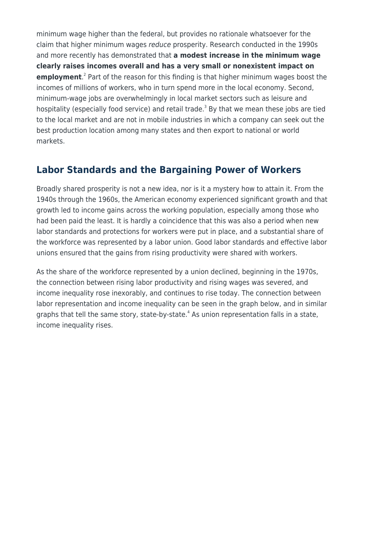minimum wage higher than the federal, but provides no rationale whatsoever for the claim that higher minimum wages reduce prosperity. Research conducted in the 1990s and more recently has demonstrated that **a modest increase in the minimum wage clearly raises incomes overall and has a very small or nonexistent impact on employment**.<sup>2</sup> Part of the reason for this finding is that higher minimum wages boost the incomes of millions of workers, who in turn spend more in the local economy. Second, minimum-wage jobs are overwhelmingly in local market sectors such as leisure and hospitality (especially food service) and retail trade.<sup>3</sup> By that we mean these jobs are tied to the local market and are not in mobile industries in which a company can seek out the best production location among many states and then export to national or world markets.

#### **Labor Standards and the Bargaining Power of Workers**

Broadly shared prosperity is not a new idea, nor is it a mystery how to attain it. From the 1940s through the 1960s, the American economy experienced significant growth and that growth led to income gains across the working population, especially among those who had been paid the least. It is hardly a coincidence that this was also a period when new labor standards and protections for workers were put in place, and a substantial share of the workforce was represented by a labor union. Good labor standards and effective labor unions ensured that the gains from rising productivity were shared with workers.

As the share of the workforce represented by a union declined, beginning in the 1970s, the connection between rising labor productivity and rising wages was severed, and income inequality rose inexorably, and continues to rise today. The connection between labor representation and income inequality can be seen in the graph below, and in similar graphs that tell the same story, state-by-state.<sup>4</sup> As union representation falls in a state, income inequality rises.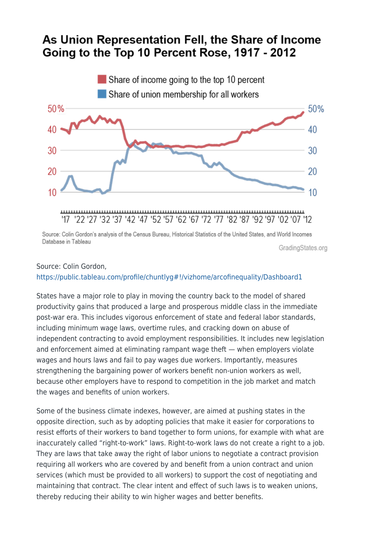## As Union Representation Fell, the Share of Income Going to the Top 10 Percent Rose, 1917 - 2012



Source: Colin Gordon's analysis of the Census Bureau. Historical Statistics of the United States, and World Incomes Database in Tableau

GradingStates.org

#### Source: Colin Gordon, <https://public.tableau.com/profile/chuntlyg#!/vizhome/arcofinequality/Dashboard1>

States have a major role to play in moving the country back to the model of shared productivity gains that produced a large and prosperous middle class in the immediate post-war era. This includes vigorous enforcement of state and federal labor standards, including minimum wage laws, overtime rules, and cracking down on abuse of independent contracting to avoid employment responsibilities. It includes new legislation and enforcement aimed at eliminating rampant wage theft — when employers violate wages and hours laws and fail to pay wages due workers. Importantly, measures strengthening the bargaining power of workers benefit non-union workers as well, because other employers have to respond to competition in the job market and match the wages and benefits of union workers.

Some of the business climate indexes, however, are aimed at pushing states in the opposite direction, such as by adopting policies that make it easier for corporations to resist efforts of their workers to band together to form unions, for example with what are inaccurately called "right-to-work" laws. Right-to-work laws do not create a right to a job. They are laws that take away the right of labor unions to negotiate a contract provision requiring all workers who are covered by and benefit from a union contract and union services (which must be provided to all workers) to support the cost of negotiating and maintaining that contract. The clear intent and effect of such laws is to weaken unions, thereby reducing their ability to win higher wages and better benefits.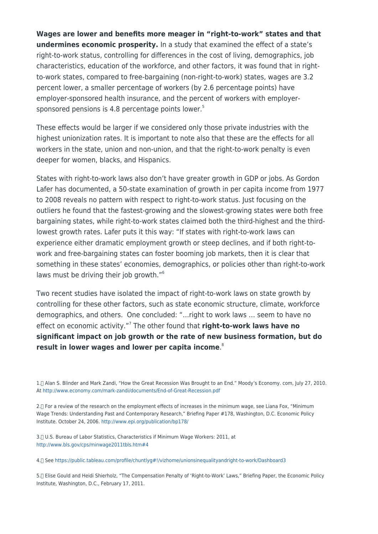**Wages are lower and benefits more meager in "right-to-work" states and that undermines economic prosperity.** In a study that examined the effect of a state's right-to-work status, controlling for differences in the cost of living, demographics, job characteristics, education of the workforce, and other factors, it was found that in rightto-work states, compared to free-bargaining (non-right-to-work) states, wages are 3.2 percent lower, a smaller percentage of workers (by 2.6 percentage points) have employer-sponsored health insurance, and the percent of workers with employersponsored pensions is 4.8 percentage points lower. $5$ 

These effects would be larger if we considered only those private industries with the highest unionization rates. It is important to note also that these are the effects for all workers in the state, union and non-union, and that the right-to-work penalty is even deeper for women, blacks, and Hispanics.

States with right-to-work laws also don't have greater growth in GDP or jobs. As Gordon Lafer has documented, a 50-state examination of growth in per capita income from 1977 to 2008 reveals no pattern with respect to right-to-work status. Just focusing on the outliers he found that the fastest-growing and the slowest-growing states were both free bargaining states, while right-to-work states claimed both the third-highest and the thirdlowest growth rates. Lafer puts it this way: "If states with right-to-work laws can experience either dramatic employment growth or steep declines, and if both right-towork and free-bargaining states can foster booming job markets, then it is clear that something in these states' economies, demographics, or policies other than right-to-work laws must be driving their job growth."<sup>6</sup>

Two recent studies have isolated the impact of right-to-work laws on state growth by controlling for these other factors, such as state economic structure, climate, workforce demographics, and others. One concluded: "…right to work laws … seem to have no effect on economic activity."<sup>7</sup> The other found that **right-to-work laws have no significant impact on job growth or the rate of new business formation, but do result in lower wages and lower per capita income**. 8

1.- Alan S. Blinder and Mark Zandi, "How the Great Recession Was Brought to an End." Moody's Economy. com, July 27, 2010. At <http://www.economy.com/mark-zandi/documents/End-of-Great-Recession.pdf>

2.[] For a review of the research on the employment effects of increases in the minimum wage, see Liana Fox, "Minimum Wage Trends: Understanding Past and Contemporary Research," Briefing Paper #178, Washington, D.C. Economic Policy Institute. October 24, 2006. <http://www.epi.org/publication/bp178/>

3.- U.S. Bureau of Labor Statistics, Characteristics if Minimum Wage Workers: 2011, at <http://www.bls.gov/cps/minwage2011tbls.htm#4>

4.- See <https://public.tableau.com/profile/chuntlyg#!/vizhome/unionsinequalityandright-to-work/Dashboard3>

5.[] Elise Gould and Heidi Shierholz, "The Compensation Penalty of 'Right-to-Work' Laws," Briefing Paper, the Economic Policy Institute, Washington, D.C., February 17, 2011.